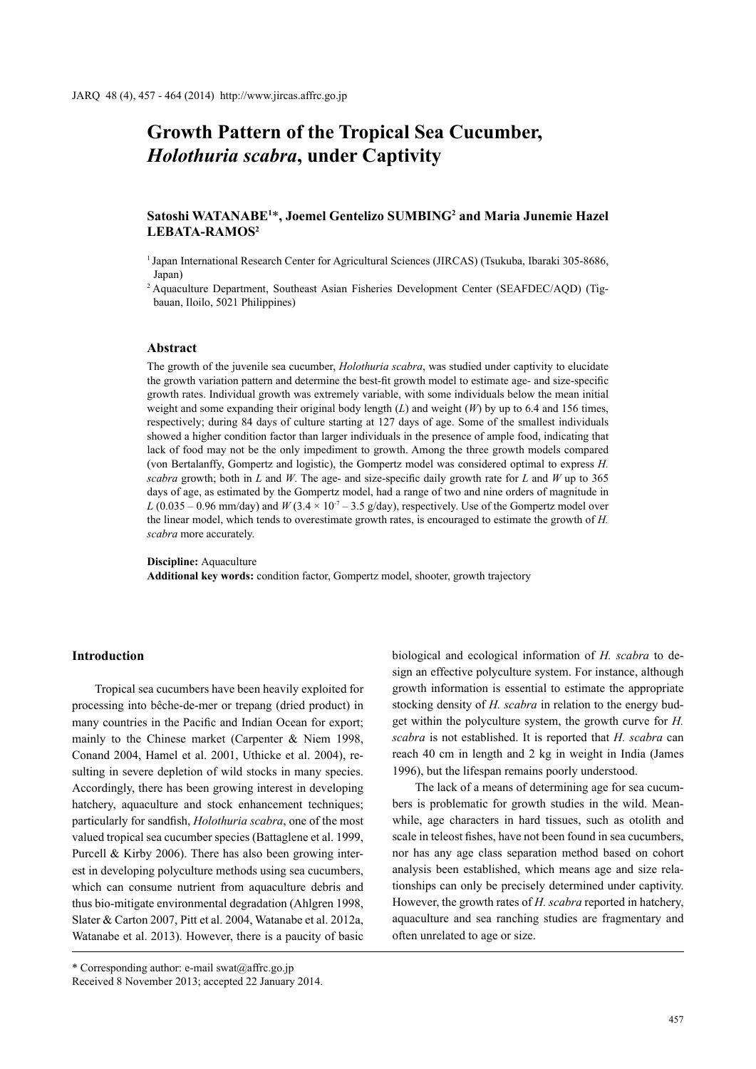# **Growth Pattern of the Tropical Sea Cucumber,**  *Holothuria scabra***, under Captivity**

# Satoshi WATANABE<sup>1\*</sup>, Joemel Gentelizo SUMBING<sup>2</sup> and Maria Junemie Hazel **LEBATA-RAMOS2**

<sup>1</sup>Japan International Research Center for Agricultural Sciences (JIRCAS) (Tsukuba, Ibaraki 305-8686, Japan)

2 Aquaculture Department, Southeast Asian Fisheries Development Center (SEAFDEC/AQD) (Tigbauan, Iloilo, 5021 Philippines)

#### **Abstract**

The growth of the juvenile sea cucumber, *Holothuria scabra*, was studied under captivity to elucidate the growth variation pattern and determine the best-fit growth model to estimate age- and size-specific growth rates. Individual growth was extremely variable, with some individuals below the mean initial weight and some expanding their original body length (*L*) and weight (*W*) by up to 6.4 and 156 times, respectively; during 84 days of culture starting at 127 days of age. Some of the smallest individuals showed a higher condition factor than larger individuals in the presence of ample food, indicating that lack of food may not be the only impediment to growth. Among the three growth models compared (von Bertalanffy, Gompertz and logistic), the Gompertz model was considered optimal to express *H. scabra* growth; both in *L* and *W*. The age- and size-specific daily growth rate for *L* and *W* up to 365 days of age, as estimated by the Gompertz model, had a range of two and nine orders of magnitude in *L* (0.035 – 0.96 mm/day) and *W* (3.4  $\times$  10<sup>-7</sup> – 3.5 g/day), respectively. Use of the Gompertz model over the linear model, which tends to overestimate growth rates, is encouraged to estimate the growth of *H. scabra* more accurately.

#### **Discipline:** Aquaculture

**Additional key words:** condition factor, Gompertz model, shooter, growth trajectory

# **Introduction**

Tropical sea cucumbers have been heavily exploited for processing into bêche-de-mer or trepang (dried product) in many countries in the Pacific and Indian Ocean for export; mainly to the Chinese market (Carpenter & Niem 1998, Conand 2004, Hamel et al. 2001, Uthicke et al. 2004), resulting in severe depletion of wild stocks in many species. Accordingly, there has been growing interest in developing hatchery, aquaculture and stock enhancement techniques; particularly for sandfish, *Holothuria scabra*, one of the most valued tropical sea cucumber species (Battaglene et al. 1999, Purcell & Kirby 2006). There has also been growing interest in developing polyculture methods using sea cucumbers, which can consume nutrient from aquaculture debris and thus bio-mitigate environmental degradation (Ahlgren 1998, Slater & Carton 2007, Pitt et al. 2004, Watanabe et al. 2012a, Watanabe et al. 2013). However, there is a paucity of basic

biological and ecological information of *H. scabra* to design an effective polyculture system. For instance, although growth information is essential to estimate the appropriate stocking density of *H. scabra* in relation to the energy budget within the polyculture system, the growth curve for *H. scabra* is not established. It is reported that *H. scabra* can reach 40 cm in length and 2 kg in weight in India (James 1996), but the lifespan remains poorly understood.

The lack of a means of determining age for sea cucumbers is problematic for growth studies in the wild. Meanwhile, age characters in hard tissues, such as otolith and scale in teleost fishes, have not been found in sea cucumbers, nor has any age class separation method based on cohort analysis been established, which means age and size relationships can only be precisely determined under captivity. However, the growth rates of *H. scabra* reported in hatchery, aquaculture and sea ranching studies are fragmentary and often unrelated to age or size.

<sup>\*</sup> Corresponding author: e-mail swat@affrc.go.jp Received 8 November 2013; accepted 22 January 2014.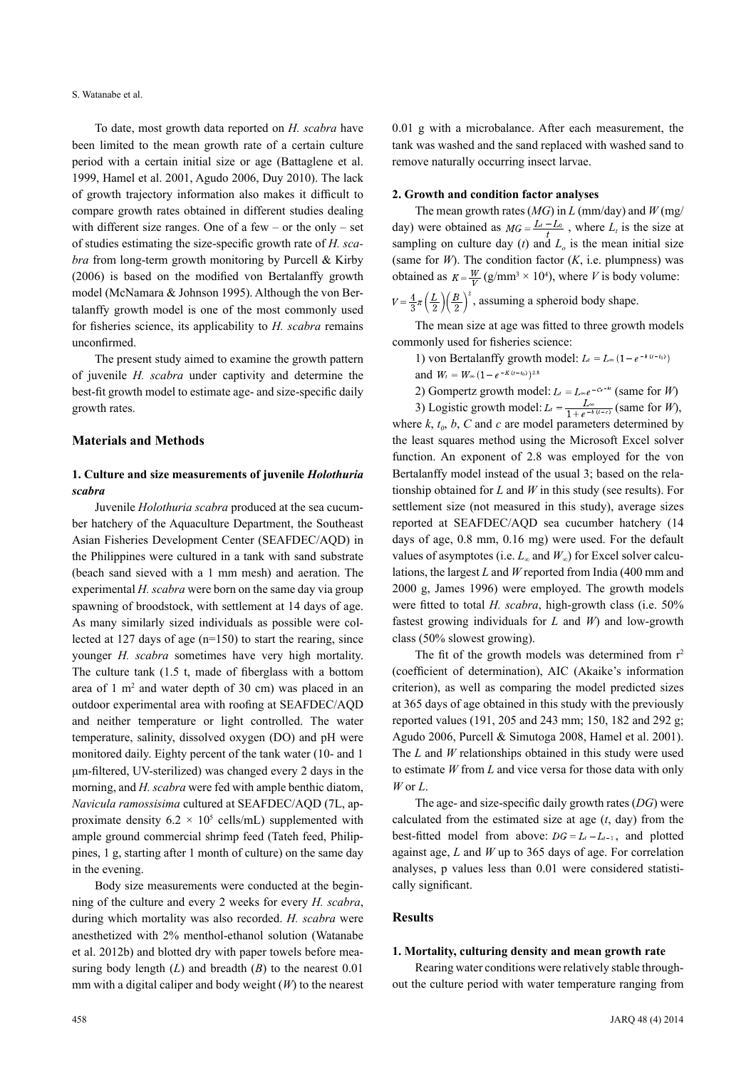S. Watanabe et al.

To date, most growth data reported on *H. scabra* have been limited to the mean growth rate of a certain culture period with a certain initial size or age (Battaglene et al. 1999, Hamel et al. 2001, Agudo 2006, Duy 2010). The lack of growth trajectory information also makes it difficult to compare growth rates obtained in different studies dealing with different size ranges. One of a few – or the only – set of studies estimating the size-specific growth rate of *H. scabra* from long-term growth monitoring by Purcell & Kirby (2006) is based on the modified von Bertalanffy growth model (McNamara & Johnson 1995). Although the von Bertalanffy growth model is one of the most commonly used for fisheries science, its applicability to *H. scabra* remains unconfirmed.

The present study aimed to examine the growth pattern of juvenile *H. scabra* under captivity and determine the best-fit growth model to estimate age- and size-specific daily growth rates.

## **Materials and Methods**

# **1. Culture and size measurements of juvenile** *Holothuria scabra*

Juvenile *Holothuria scabra* produced at the sea cucumber hatchery of the Aquaculture Department, the Southeast Asian Fisheries Development Center (SEAFDEC/AQD) in the Philippines were cultured in a tank with sand substrate (beach sand sieved with a 1 mm mesh) and aeration. The experimental *H. scabra* were born on the same day via group spawning of broodstock, with settlement at 14 days of age. As many similarly sized individuals as possible were collected at 127 days of age (n=150) to start the rearing, since younger *H. scabra* sometimes have very high mortality. The culture tank (1.5 t, made of fiberglass with a bottom area of  $1 \text{ m}^2$  and water depth of  $30 \text{ cm}$ ) was placed in an outdoor experimental area with roofing at SEAFDEC/AQD and neither temperature or light controlled. The water temperature, salinity, dissolved oxygen (DO) and pH were monitored daily. Eighty percent of the tank water (10- and 1 μm-filtered, UV-sterilized) was changed every 2 days in the morning, and *H. scabra* were fed with ample benthic diatom, *Navicula ramossisima* cultured at SEAFDEC/AQD (7L, approximate density  $6.2 \times 10^5$  cells/mL) supplemented with ample ground commercial shrimp feed (Tateh feed, Philippines, 1 g, starting after 1 month of culture) on the same day in the evening.

Body size measurements were conducted at the beginning of the culture and every 2 weeks for every *H. scabra*, during which mortality was also recorded. *H. scabra* were anesthetized with 2% menthol-ethanol solution (Watanabe et al. 2012b) and blotted dry with paper towels before measuring body length (*L*) and breadth (*B*) to the nearest 0.01 mm with a digital caliper and body weight (*W*) to the nearest 0.01 g with a microbalance. After each measurement, the tank was washed and the sand replaced with washed sand to remove naturally occurring insect larvae.

#### **2. Growth and condition factor analyses**

The mean growth rates (*MG*) in *L* (mm/day) and *W* (mg/ day) were obtained as  $MG = \frac{L_t - L_0}{t}$ , where  $L_t$  is the size at sampling on culture day  $(t)$  and  $L<sub>o</sub>$  is the mean initial size (same for  $W$ ). The condition factor  $(K, i.e.$  plumpness) was obtained as  $K = \frac{W}{V} (g/mm^3 \times 10^4)$ , where *V* is body volume:

 $V = \frac{4}{3}\pi \left(\frac{L}{2}\right) \left(\frac{B}{2}\right)^2$ , assuming a spheroid body shape.

The mean size at age was fitted to three growth models commonly used for fisheries science:

1) von Bertalanffy growth model:  $L_t = L_{\infty} (1 - e^{-k(t - t_0)})$ and  $W_t = W_{\infty} (1 - e^{-K(t - t_0)})^{2.8}$ 

2) Gompertz growth model:  $L_t = L_{\infty}e^{-c_e-\kappa t}$  (same for *W*)

3) Logistic growth model:  $L = \frac{L\infty}{1 + e^{-b(1-c)}}$  (same for *W*), where  $k$ ,  $t_0$ ,  $b$ ,  $C$  and  $c$  are model parameters determined by the least squares method using the Microsoft Excel solver function. An exponent of 2.8 was employed for the von Bertalanffy model instead of the usual 3; based on the relationship obtained for *L* and *W* in this study (see results). For settlement size (not measured in this study), average sizes reported at SEAFDEC/AQD sea cucumber hatchery (14 days of age, 0.8 mm, 0.16 mg) were used. For the default values of asymptotes (i.e.  $L_{\infty}$  and  $W_{\infty}$ ) for Excel solver calculations, the largest *L* and *W* reported from India (400 mm and 2000 g, James 1996) were employed. The growth models were fitted to total *H. scabra*, high-growth class (i.e. 50% fastest growing individuals for *L* and *W*) and low-growth class (50% slowest growing).

The fit of the growth models was determined from  $r^2$ (coefficient of determination), AIC (Akaike's information criterion), as well as comparing the model predicted sizes at 365 days of age obtained in this study with the previously reported values (191, 205 and 243 mm; 150, 182 and 292 g; Agudo 2006, Purcell & Simutoga 2008, Hamel et al. 2001). The *L* and *W* relationships obtained in this study were used to estimate *W* from *L* and vice versa for those data with only *W* or *L*.

The age- and size-specific daily growth rates (*DG*) were calculated from the estimated size at age (*t*, day) from the best-fitted model from above:  $DG = L_t - L_{t-1}$ , and plotted against age, *L* and *W* up to 365 days of age. For correlation analyses, p values less than 0.01 were considered statistically significant.

## **Results**

## **1. Mortality, culturing density and mean growth rate**

Rearing water conditions were relatively stable throughout the culture period with water temperature ranging from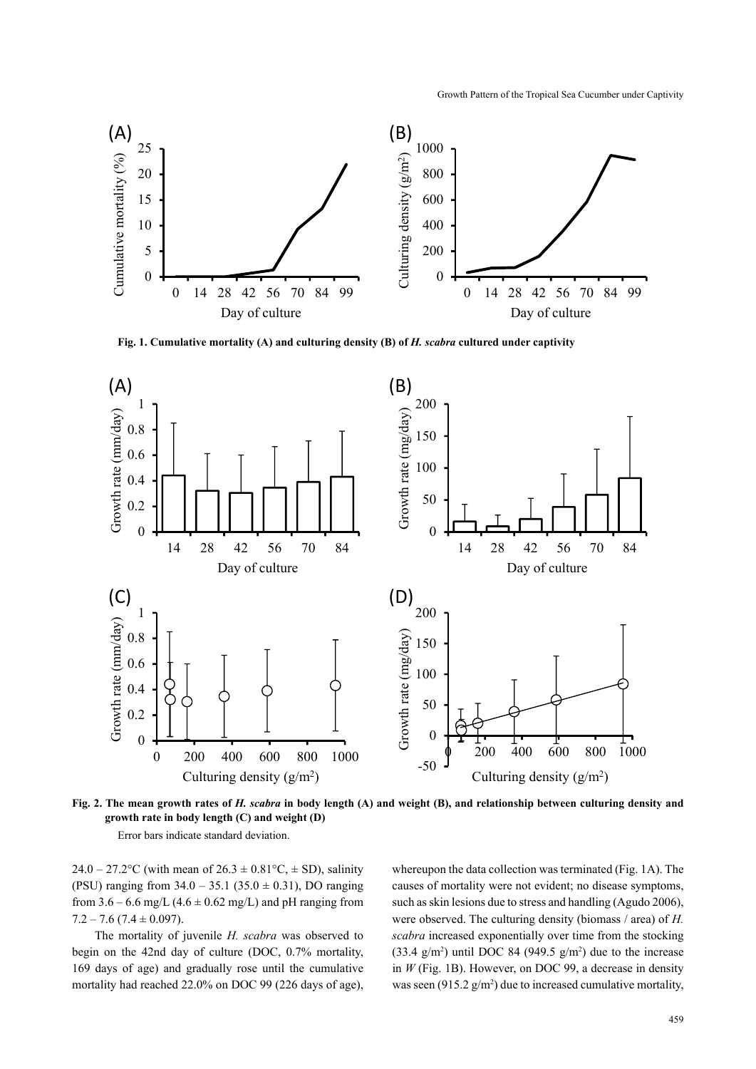

**Fig. 1. Cumulative mortality (A) and culturing density (B) of** *H. scabra* **cultured under captivity**



**Fig. 2. The mean growth rates of** *H. scabra* **in body length (A) and weight (B), and relationship between culturing density and growth rate in body length (C) and weight (D)**

Error bars indicate standard deviation.

24.0 – 27.2°C (with mean of  $26.3 \pm 0.81$ °C,  $\pm$  SD), salinity (PSU) ranging from  $34.0 - 35.1$  ( $35.0 \pm 0.31$ ), DO ranging from  $3.6 - 6.6$  mg/L  $(4.6 \pm 0.62$  mg/L) and pH ranging from  $7.2 - 7.6$  (7.4  $\pm$  0.097).

The mortality of juvenile *H. scabra* was observed to begin on the 42nd day of culture (DOC, 0.7% mortality, 169 days of age) and gradually rose until the cumulative mortality had reached 22.0% on DOC 99 (226 days of age), whereupon the data collection was terminated (Fig. 1A). The causes of mortality were not evident; no disease symptoms, such as skin lesions due to stress and handling (Agudo 2006), were observed. The culturing density (biomass / area) of *H. scabra* increased exponentially over time from the stocking  $(33.4 \text{ g/m}^2)$  until DOC 84 (949.5 g/m<sup>2</sup>) due to the increase in *W* (Fig. 1B). However, on DOC 99, a decrease in density was seen (915.2  $g/m^2$ ) due to increased cumulative mortality,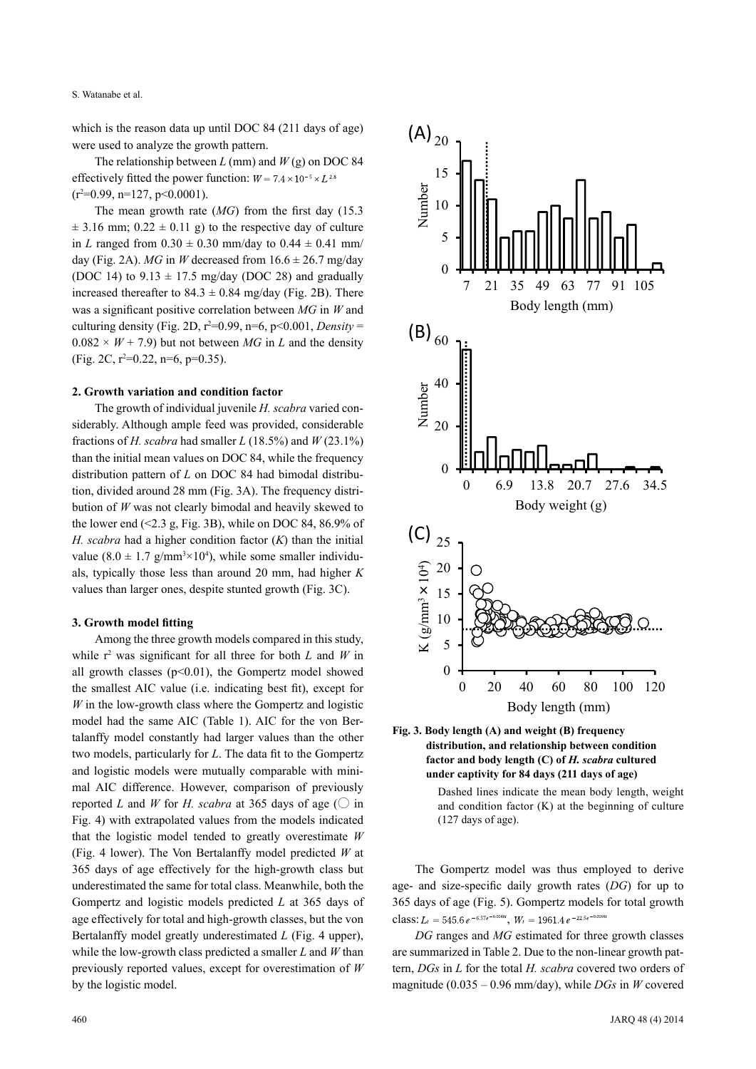S. Watanabe et al.

which is the reason data up until DOC 84 (211 days of age) were used to analyze the growth pattern.

The relationship between *L* (mm) and *W* (g) on DOC 84 effectively fitted the power function:  $W = 7.4 \times 10^{-5} \times L^{2.8}$  $(r^2=0.99, n=127, p<0.0001)$ .

The mean growth rate (*MG*) from the first day (15.3  $\pm$  3.16 mm; 0.22  $\pm$  0.11 g) to the respective day of culture in *L* ranged from  $0.30 \pm 0.30$  mm/day to  $0.44 \pm 0.41$  mm/ day (Fig. 2A). *MG* in *W* decreased from  $16.6 \pm 26.7$  mg/day (DOC 14) to  $9.13 \pm 17.5$  mg/day (DOC 28) and gradually increased thereafter to  $84.3 \pm 0.84$  mg/day (Fig. 2B). There was a significant positive correlation between *MG* in *W* and culturing density (Fig. 2D,  $r^2=0.99$ ,  $n=6$ ,  $p<0.001$ , *Density* =  $0.082 \times W + 7.9$  but not between *MG* in *L* and the density (Fig. 2C,  $r^2=0.22$ ,  $n=6$ ,  $p=0.35$ ).

#### **2. Growth variation and condition factor**

The growth of individual juvenile *H. scabra* varied considerably. Although ample feed was provided, considerable fractions of *H. scabra* had smaller *L* (18.5%) and *W* (23.1%) than the initial mean values on DOC 84, while the frequency distribution pattern of *L* on DOC 84 had bimodal distribution, divided around 28 mm (Fig. 3A). The frequency distribution of *W* was not clearly bimodal and heavily skewed to the lower end  $(\leq 2.3 \text{ g}, \text{Fig. 3B})$ , while on DOC 84, 86.9% of *H. scabra* had a higher condition factor (*K*) than the initial value  $(8.0 \pm 1.7 \text{ g/mm}^3 \times 10^4)$ , while some smaller individuals, typically those less than around 20 mm, had higher *K* values than larger ones, despite stunted growth (Fig. 3C).

## **3. Growth model fitting**

Among the three growth models compared in this study, while  $r^2$  was significant for all three for both *L* and *W* in all growth classes ( $p<0.01$ ), the Gompertz model showed the smallest AIC value (i.e. indicating best fit), except for *W* in the low-growth class where the Gompertz and logistic model had the same AIC (Table 1). AIC for the von Bertalanffy model constantly had larger values than the other two models, particularly for *L*. The data fit to the Gompertz and logistic models were mutually comparable with minimal AIC difference. However, comparison of previously reported *L* and *W* for *H. scabra* at 365 days of age ( $\bigcirc$  in Fig. 4) with extrapolated values from the models indicated that the logistic model tended to greatly overestimate *W* (Fig. 4 lower). The Von Bertalanffy model predicted *W* at 365 days of age effectively for the high-growth class but underestimated the same for total class. Meanwhile, both the Gompertz and logistic models predicted *L* at 365 days of age effectively for total and high-growth classes, but the von Bertalanffy model greatly underestimated *L* (Fig. 4 upper), while the low-growth class predicted a smaller *L* and *W* than previously reported values, except for overestimation of *W* by the logistic model.





Dashed lines indicate the mean body length, weight and condition factor (K) at the beginning of culture (127 days of age).

The Gompertz model was thus employed to derive age- and size-specific daily growth rates (*DG*) for up to 365 days of age (Fig. 5). Gompertz models for total growth class:  $L_t = 545.6 e^{-6.57e^{-0.0048t}}$ ,  $W_t = 1961.4 e^{-22.5e^{-0.0066t}}$ 

*DG* ranges and *MG* estimated for three growth classes are summarized in Table 2. Due to the non-linear growth pattern, *DGs* in *L* for the total *H. scabra* covered two orders of magnitude (0.035 – 0.96 mm/day), while *DGs* in *W* covered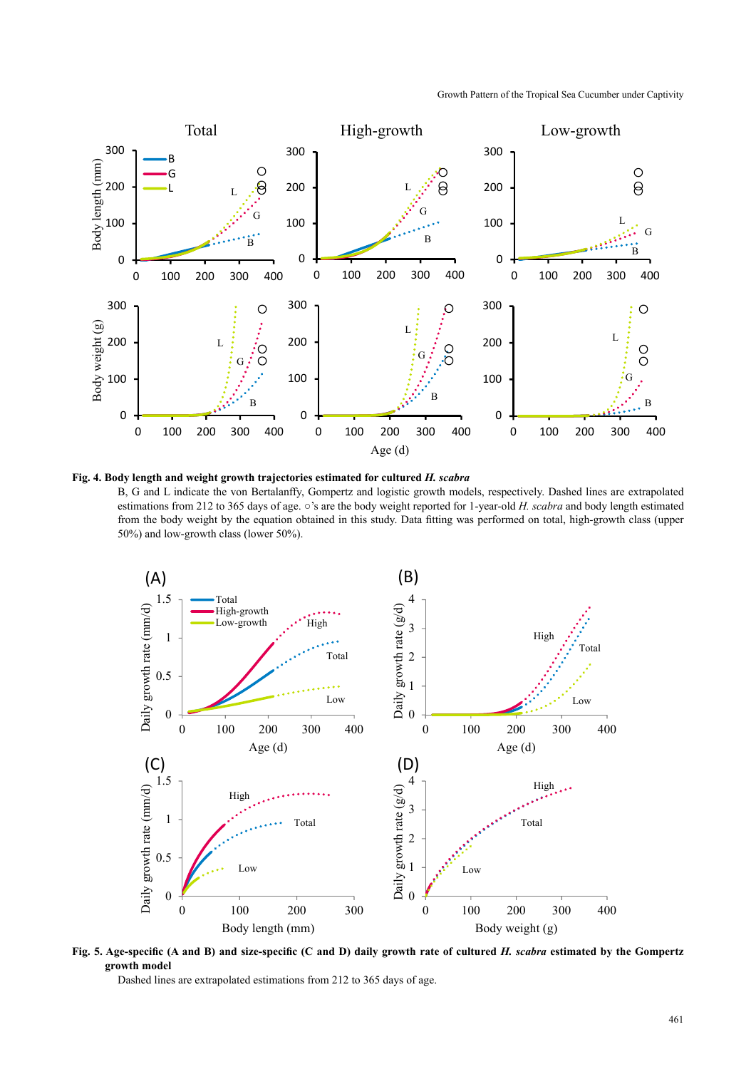Growth Pattern of the Tropical Sea Cucumber under Captivity



**Fig. 4. Body length and weight growth trajectories estimated for cultured** *H. scabra*

B, G and L indicate the von Bertalanffy, Gompertz and logistic growth models, respectively. Dashed lines are extrapolated estimations from 212 to 365 days of age. ○'s are the body weight reported for 1-year-old *H. scabra* and body length estimated from the body weight by the equation obtained in this study. Data fitting was performed on total, high-growth class (upper 50%) and low-growth class (lower 50%).



**Fig. 5. Age-specific (A and B) and size-specific (C and D) daily growth rate of cultured** *H. scabra* **estimated by the Gompertz growth model**

Dashed lines are extrapolated estimations from 212 to 365 days of age.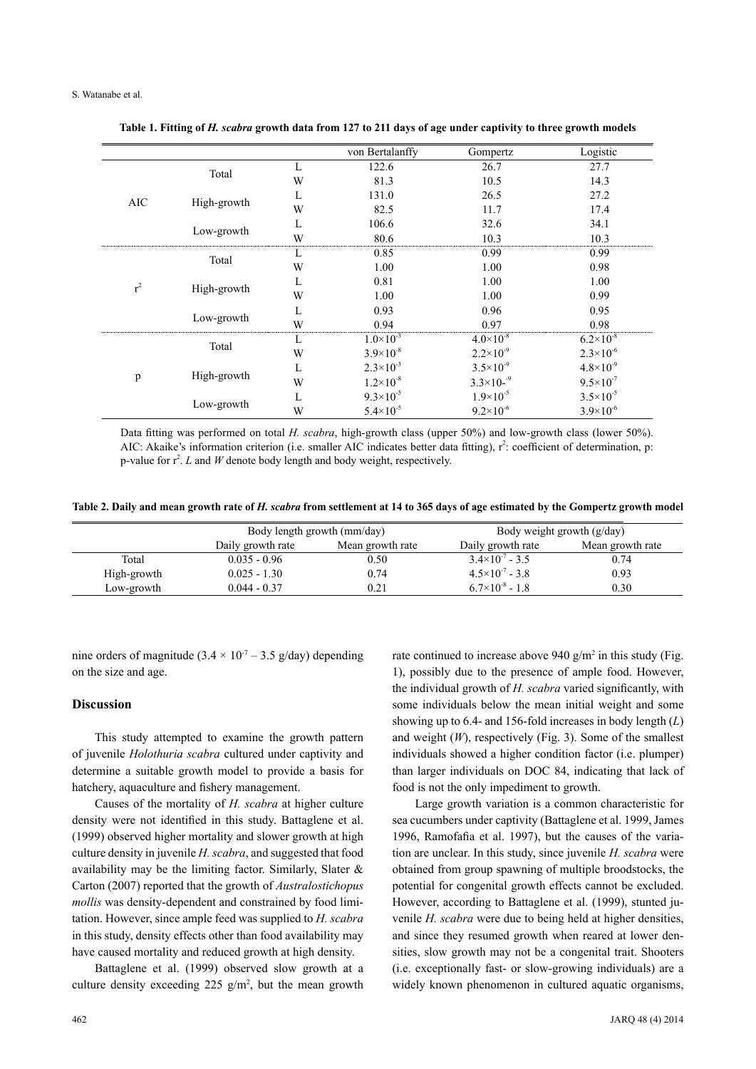|       |             |   | von Bertalanffy      | Gompertz             | Logistic             |
|-------|-------------|---|----------------------|----------------------|----------------------|
| AIC   | Total       | L | 122.6                | 26.7                 | 27.7                 |
|       |             | W | 81.3                 | 10.5                 | 14.3                 |
|       | High-growth | L | 131.0                | 26.5                 | 27.2                 |
|       |             | W | 82.5                 | 11.7                 | 17.4                 |
|       | Low-growth  | L | 106.6                | 32.6                 | 34.1                 |
|       |             | W | 80.6                 | 10.3                 | 10.3                 |
| $r^2$ | Total       | L | 0.85                 | 0.99                 | 0.99                 |
|       |             | W | 1.00                 | 1.00                 | 0.98                 |
|       | High-growth | L | 0.81                 | 1.00                 | 1.00                 |
|       |             | W | 1.00                 | 1.00                 | 0.99                 |
|       | Low-growth  | L | 0.93                 | 0.96                 | 0.95                 |
|       |             | W | 0.94                 | 0.97                 | 0.98                 |
| p     | Total       | L | $1.0\times10^{-3}$   | $4.0\times10^{-8}$   | $6.2 \times 10^{-8}$ |
|       |             | W | $3.9\times10^{-8}$   | $2.2 \times 10^{-9}$ | $2.3 \times 10^{-6}$ |
|       | High-growth | L | $2.3\times10^{-3}$   | $3.5 \times 10^{-9}$ | $4.8 \times 10^{-9}$ |
|       |             | W | $1.2 \times 10^{-8}$ | $3.3\times10^{-9}$   | $9.5 \times 10^{-7}$ |
|       | Low-growth  | L | $9.3 \times 10^{-5}$ | $1.9\times10^{-5}$   | $3.5 \times 10^{-5}$ |
|       |             | W | $5.4 \times 10^{-5}$ | $9.2\times10^{-6}$   | $3.9\times10^{-6}$   |

**Table 1. Fitting of** *H. scabra* **growth data from 127 to 211 days of age under captivity to three growth models**

Data fitting was performed on total *H. scabra*, high-growth class (upper 50%) and low-growth class (lower 50%). AIC: Akaike's information criterion (i.e. smaller AIC indicates better data fitting),  $r^2$ : coefficient of determination, p: p-value for  $r^2$ . *L* and *W* denote body length and body weight, respectively.

**Table 2. Daily and mean growth rate of** *H. scabra* **from settlement at 14 to 365 days of age estimated by the Gompertz growth model**

|             | Body length growth (mm/day) |                  | Body weight growth $(g/day)$ |                  |
|-------------|-----------------------------|------------------|------------------------------|------------------|
|             | Daily growth rate           | Mean growth rate | Daily growth rate            | Mean growth rate |
| Total       | $0.035 - 0.96$              | 0.50             | $3.4 \times 10^{-7} - 3.5$   | 0.74             |
| High-growth | $0.025 - 1.30$              | 0.74             | $4.5 \times 10^{-7} - 3.8$   | 0.93             |
| Low-growth  | $0.044 - 0.37$              | 0.21             | $6.7\times10^{-8}$ - 1.8     | 0.30             |

nine orders of magnitude  $(3.4 \times 10^{-7} - 3.5 \text{ g/day})$  depending on the size and age.

#### **Discussion**

This study attempted to examine the growth pattern of juvenile *Holothuria scabra* cultured under captivity and determine a suitable growth model to provide a basis for hatchery, aquaculture and fishery management.

Causes of the mortality of *H. scabra* at higher culture density were not identified in this study. Battaglene et al. (1999) observed higher mortality and slower growth at high culture density in juvenile *H. scabra*, and suggested that food availability may be the limiting factor. Similarly, Slater & Carton (2007) reported that the growth of *Australostichopus mollis* was density-dependent and constrained by food limitation. However, since ample feed was supplied to *H. scabra* in this study, density effects other than food availability may have caused mortality and reduced growth at high density.

Battaglene et al. (1999) observed slow growth at a culture density exceeding  $225$  g/m<sup>2</sup>, but the mean growth rate continued to increase above  $940 \text{ g/m}^2$  in this study (Fig. 1), possibly due to the presence of ample food. However, the individual growth of *H. scabra* varied significantly, with some individuals below the mean initial weight and some showing up to 6.4- and 156-fold increases in body length (*L*) and weight (*W*), respectively (Fig. 3). Some of the smallest individuals showed a higher condition factor (i.e. plumper) than larger individuals on DOC 84, indicating that lack of food is not the only impediment to growth.

Large growth variation is a common characteristic for sea cucumbers under captivity (Battaglene et al. 1999, James 1996, Ramofafia et al. 1997), but the causes of the variation are unclear. In this study, since juvenile *H. scabra* were obtained from group spawning of multiple broodstocks, the potential for congenital growth effects cannot be excluded. However, according to Battaglene et al. (1999), stunted juvenile *H. scabra* were due to being held at higher densities, and since they resumed growth when reared at lower densities, slow growth may not be a congenital trait. Shooters (i.e. exceptionally fast- or slow-growing individuals) are a widely known phenomenon in cultured aquatic organisms,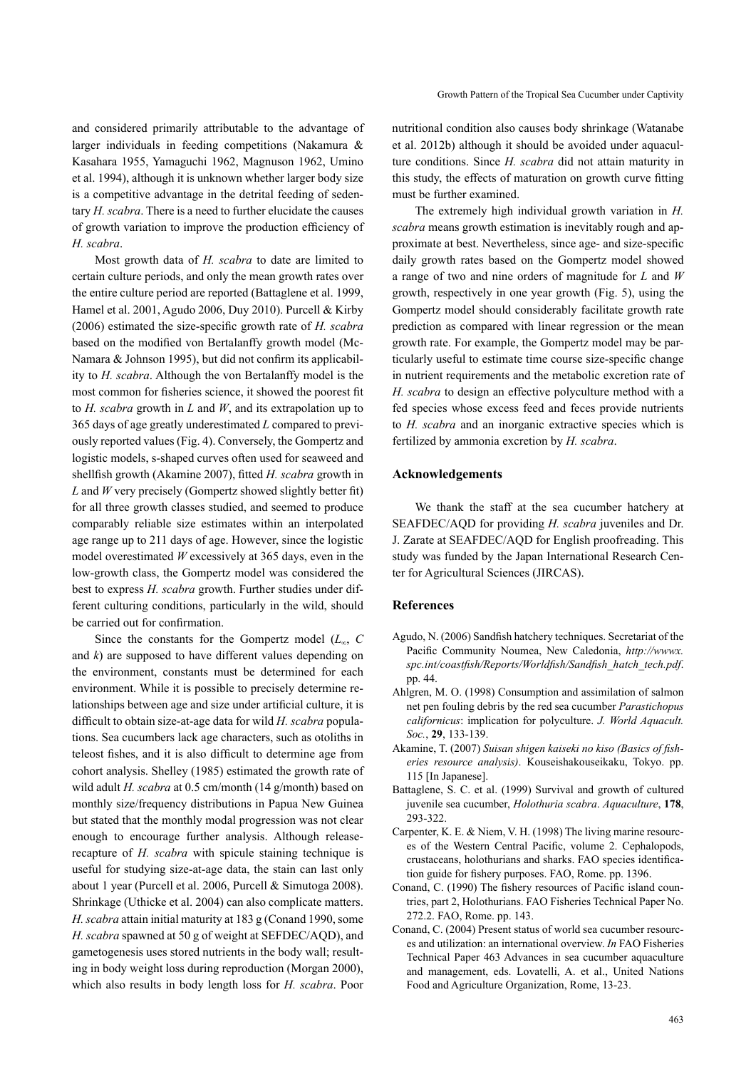and considered primarily attributable to the advantage of larger individuals in feeding competitions (Nakamura & Kasahara 1955, Yamaguchi 1962, Magnuson 1962, Umino et al. 1994), although it is unknown whether larger body size is a competitive advantage in the detrital feeding of sedentary *H. scabra*. There is a need to further elucidate the causes of growth variation to improve the production efficiency of *H. scabra*.

Most growth data of *H. scabra* to date are limited to certain culture periods, and only the mean growth rates over the entire culture period are reported (Battaglene et al. 1999, Hamel et al. 2001, Agudo 2006, Duy 2010). Purcell & Kirby (2006) estimated the size-specific growth rate of *H. scabra* based on the modified von Bertalanffy growth model (Mc-Namara & Johnson 1995), but did not confirm its applicability to *H. scabra*. Although the von Bertalanffy model is the most common for fisheries science, it showed the poorest fit to *H. scabra* growth in *L* and *W*, and its extrapolation up to 365 days of age greatly underestimated *L* compared to previously reported values (Fig. 4). Conversely, the Gompertz and logistic models, s-shaped curves often used for seaweed and shellfish growth (Akamine 2007), fitted *H. scabra* growth in *L* and *W* very precisely (Gompertz showed slightly better fit) for all three growth classes studied, and seemed to produce comparably reliable size estimates within an interpolated age range up to 211 days of age. However, since the logistic model overestimated *W* excessively at 365 days, even in the low-growth class, the Gompertz model was considered the best to express *H. scabra* growth. Further studies under different culturing conditions, particularly in the wild, should be carried out for confirmation.

Since the constants for the Gompertz model  $(L_\infty, C)$ and *k*) are supposed to have different values depending on the environment, constants must be determined for each environment. While it is possible to precisely determine relationships between age and size under artificial culture, it is difficult to obtain size-at-age data for wild *H. scabra* populations. Sea cucumbers lack age characters, such as otoliths in teleost fishes, and it is also difficult to determine age from cohort analysis. Shelley (1985) estimated the growth rate of wild adult *H. scabra* at 0.5 cm/month (14 g/month) based on monthly size/frequency distributions in Papua New Guinea but stated that the monthly modal progression was not clear enough to encourage further analysis. Although releaserecapture of *H. scabra* with spicule staining technique is useful for studying size-at-age data, the stain can last only about 1 year (Purcell et al. 2006, Purcell & Simutoga 2008). Shrinkage (Uthicke et al. 2004) can also complicate matters. *H. scabra* attain initial maturity at 183 g (Conand 1990, some *H. scabra* spawned at 50 g of weight at SEFDEC/AQD), and gametogenesis uses stored nutrients in the body wall; resulting in body weight loss during reproduction (Morgan 2000), which also results in body length loss for *H. scabra*. Poor

nutritional condition also causes body shrinkage (Watanabe et al. 2012b) although it should be avoided under aquaculture conditions. Since *H. scabra* did not attain maturity in this study, the effects of maturation on growth curve fitting must be further examined.

The extremely high individual growth variation in *H. scabra* means growth estimation is inevitably rough and approximate at best. Nevertheless, since age- and size-specific daily growth rates based on the Gompertz model showed a range of two and nine orders of magnitude for *L* and *W*  growth, respectively in one year growth (Fig. 5), using the Gompertz model should considerably facilitate growth rate prediction as compared with linear regression or the mean growth rate. For example, the Gompertz model may be particularly useful to estimate time course size-specific change in nutrient requirements and the metabolic excretion rate of *H. scabra* to design an effective polyculture method with a fed species whose excess feed and feces provide nutrients to *H. scabra* and an inorganic extractive species which is fertilized by ammonia excretion by *H. scabra*.

## **Acknowledgements**

We thank the staff at the sea cucumber hatchery at SEAFDEC/AQD for providing *H. scabra* juveniles and Dr. J. Zarate at SEAFDEC/AQD for English proofreading. This study was funded by the Japan International Research Center for Agricultural Sciences (JIRCAS).

## **References**

- Agudo, N. (2006) Sandfish hatchery techniques. Secretariat of the Pacific Community Noumea, New Caledonia, *http://wwwx. spc.int/coastfish/Reports/Worldfish/Sandfish\_hatch\_tech.pdf*. pp. 44.
- Ahlgren, M. O. (1998) Consumption and assimilation of salmon net pen fouling debris by the red sea cucumber *Parastichopus californicus*: implication for polyculture. *J. World Aquacult. Soc.*, **29**, 133-139.
- Akamine, T. (2007) *Suisan shigen kaiseki no kiso (Basics of fisheries resource analysis)*. Kouseishakouseikaku, Tokyo. pp. 115 [In Japanese].
- Battaglene, S. C. et al. (1999) Survival and growth of cultured juvenile sea cucumber, *Holothuria scabra*. *Aquaculture*, **178**, 293-322.
- Carpenter, K. E. & Niem, V. H. (1998) The living marine resources of the Western Central Pacific, volume 2. Cephalopods, crustaceans, holothurians and sharks. FAO species identification guide for fishery purposes. FAO, Rome. pp. 1396.
- Conand, C. (1990) The fishery resources of Pacific island countries, part 2, Holothurians. FAO Fisheries Technical Paper No. 272.2. FAO, Rome. pp. 143.
- Conand, C. (2004) Present status of world sea cucumber resources and utilization: an international overview. *In* FAO Fisheries Technical Paper 463 Advances in sea cucumber aquaculture and management, eds. Lovatelli, A. et al., United Nations Food and Agriculture Organization, Rome, 13-23.